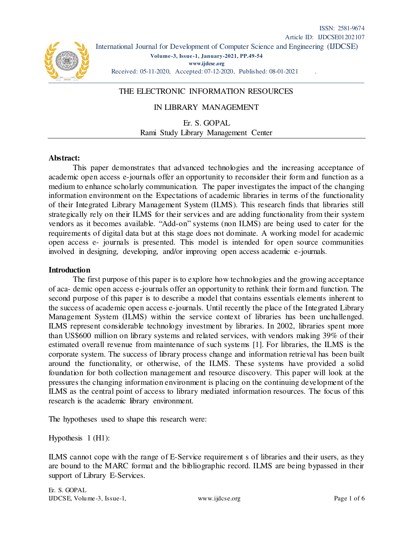# THE ELECTRONIC INFORMATION RESOURCES

### IN LIBRARY MANAGEMENT

Er. S. GOPAL Rami Study Library Management Center

#### **Abstract:**

This paper demonstrates that advanced technologies and the increasing acceptance of academic open access e-journals offer an opportunity to reconsider their form and function as a medium to enhance scholarly communication. The paper investigates the impact of the changing information environment on the Expectations of academic libraries in terms of the functionality of their Integrated Library Management System (ILMS). This research finds that libraries still strategically rely on their ILMS for their services and are adding functionality from their system vendors as it becomes available. "Add-on" systems (non ILMS) are being used to cater for the requirements of digital data but at this stage does not dominate. A working model for academic open access e- journals is presented. This model is intended for open source communities involved in designing, developing, and/or improving open access academic e-journals.

#### **Introduction**

The first purpose of this paper is to explore how technologies and the growing acceptance of aca- demic open access e-journals offer an opportunity to rethink their form and function. The second purpose of this paper is to describe a model that contains essentials elements inherent to the success of academic open access e-journals. Until recently the place of the Integrated Library Management System (ILMS) within the service context of libraries has been unchallenged. ILMS represent considerable technology investment by libraries. In 2002, libraries spent more than US\$600 million on library systems and related services, with vendors making 39% of their estimated overall revenue from maintenance of such systems [1]. For libraries, the ILMS is the corporate system. The success of library process change and information retrieval has been built around the functionality, or otherwise, of the ILMS. These systems have provided a solid foundation for both collection management and resource discovery. This paper will look at the pressures the changing information environment is placing on the continuing development of the ILMS as the central point of access to library mediated information resources. The focus of this research is the academic library environment.

The hypotheses used to shape this research were:

Hypothesis 1 (H1):

ILMS cannot cope with the range of E-Service requirement s of libraries and their users, as they are bound to the MARC format and the bibliographic record. ILMS are being bypassed in their support of Library E-Services.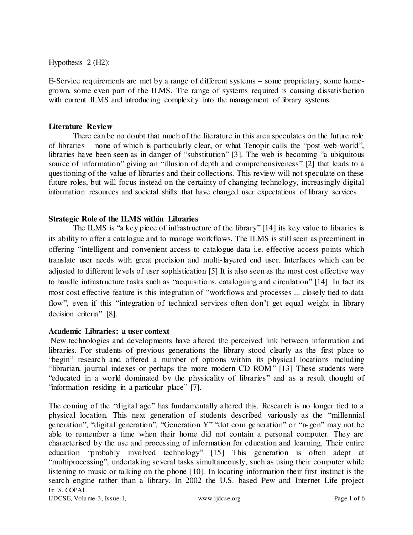Hypothesis 2 (H2):

E-Service requirements are met by a range of different systems – some proprietary, some homegrown, some even part of the ILMS. The range of systems required is causing dissatisfaction with current ILMS and introducing complexity into the management of library systems.

#### **Literature Review**

There can be no doubt that much of the literature in this area speculates on the future role of libraries – none of which is particularly clear, or what Tenopir calls the "post web world", libraries have been seen as in danger of "substitution" [3]. The web is becoming "a ubiquitous source of information" giving an "illusion of depth and comprehensiveness" [2] that leads to a questioning of the value of libraries and their collections. This review will not speculate on these future roles, but will focus instead on the certainty of changing technology, increasingly digital information resources and societal shifts that have changed user expectations of library services

### **Strategic Role of the ILMS within Libraries**

The ILMS is "a key piece of infrastructure of the library" [14] its key value to libraries is its ability to offer a catalogue and to manage workflows. The ILMS is still seen as preeminent in offering "intelligent and convenient access to catalogue data i.e. effective access points which translate user needs with great precision and multi-layered end user. Interfaces which can be adjusted to different levels of user sophistication [5] It is also seen as the most cost effective way to handle infrastructure tasks such as "acquisitions, cataloguing and circulation" [14] In fact its most cost effective feature is this integration of "workflows and processes ... closely tied to data flow", even if this "integration of technical services often don't get equal weight in library decision criteria" [8].

### **Academic Libraries: a user context**

 New technologies and developments have altered the perceived link between information and libraries. For students of previous generations the library stood clearly as the first place to "begin" research and offered a number of options within its physical locations including "librarian, journal indexes or perhaps the more modern CD ROM" [13] These students were "educated in a world dominated by the physicality of libraries" and as a result thought of "information residing in a particular place" [7].

Er. S. GOPAL IJDCSE, Volume-3, Issue-1, www.ijdcse.org Page 1 of 6 The coming of the "digital age" has fundamentally altered this. Research is no longer tied to a physical location. This next generation of students described variously as the "millennial generation", "digital generation", "Generation Y" "dot com generation" or "n-gen" may not be able to remember a time when their home did not contain a personal computer. They are characterised by the use and processing of information for education and learning. Their entire education "probably involved technology" [15] This generation is often adept at "multiprocessing", undertaking several tasks simultaneously, such as using their computer while listening to music or talking on the phone [10]. In locating information their first instinct is the search engine rather than a library. In 2002 the U.S. based Pew and Internet Life project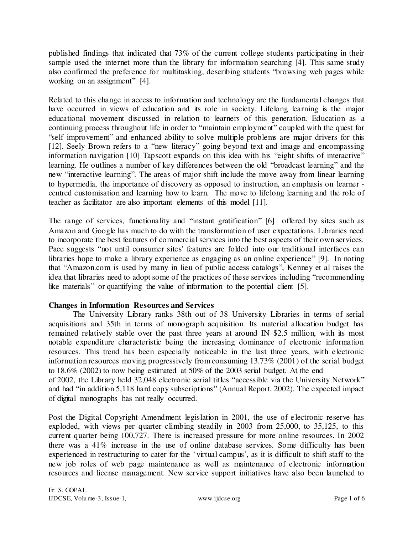published findings that indicated that 73% of the current college students participating in their sample used the internet more than the library for information searching [4]. This same study also confirmed the preference for multitasking, describing students "browsing web pages while working on an assignment" [4].

Related to this change in access to information and technology are the fundamental changes that have occurred in views of education and its role in society. Lifelong learning is the major educational movement discussed in relation to learners of this generation. Education as a continuing process throughout life in order to "maintain employment" coupled with the quest for "self improvement" and enhanced ability to solve multiple problems are major drivers for this [12]. Seely Brown refers to a "new literacy" going beyond text and image and encompassing information navigation [10] Tapscott expands on this idea with his "eight shifts of interactive" learning. He outlines a number of key differences between the old "broadcast learning" and the new "interactive learning". The areas of major shift include the move away from linear learning to hypermedia, the importance of discovery as opposed to instruction, an emphasis on learner centred customisation and learning how to learn. The move to lifelong learning and the role of teacher as facilitator are also important elements of this model [11].

The range of services, functionality and "instant gratification" [6] offered by sites such as Amazon and Google has much to do with the transformation of user expectations. Libraries need to incorporate the best features of commercial services into the best aspects of their own services. Pace suggests "not until consumer sites' features are folded into our traditional interfaces can libraries hope to make a library experience as engaging as an online experience" [9]. In noting that "Amazon.com is used by many in lieu of public access catalogs", Kenney et al raises the idea that libraries need to adopt some of the practices of these services including "recommending like materials" or quantifying the value of information to the potential client [5].

## **Changes in Information Resources and Services**

The University Library ranks 38th out of 38 University Libraries in terms of serial acquisitions and 35th in terms of monograph acquisition. Its material allocation budget has remained relatively stable over the past three years at around IN \$2.5 million, with its most notable expenditure characteristic being the increasing dominance of electronic information resources. This trend has been especially noticeable in the last three years, with electronic information resources moving progressively from consuming 13.73% (2001) of the serial budget to 18.6% (2002) to now being estimated at 50% of the 2003 serial budget. At the end of 2002, the Library held 32,048 electronic serial titles "accessible via the University Network"

and had "in addition 5,118 hard copy subscriptions" (Annual Report, 2002). The expected impact of digital monographs has not really occurred.

Post the Digital Copyright Amendment legislation in 2001, the use of electronic reserve has exploded, with views per quarter climbing steadily in 2003 from 25,000, to 35,125, to this current quarter being 100,727. There is increased pressure for more online resources. In 2002 there was a 41% increase in the use of online database services. Some difficulty has been experienced in restructuring to cater for the 'virtual campus', as it is difficult to shift staff to the new job roles of web page maintenance as well as maintenance of electronic information resources and license management. New service support initiatives have also been launched to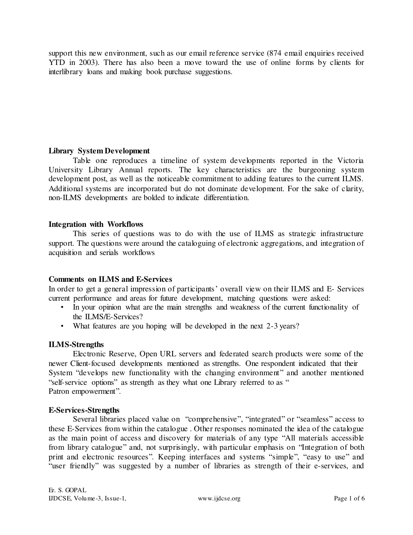support this new environment, such as our email reference service (874 email enquiries received YTD in 2003). There has also been a move toward the use of online forms by clients for interlibrary loans and making book purchase suggestions.

### **Library System Development**

Table one reproduces a timeline of system developments reported in the Victoria University Library Annual reports. The key characteristics are the burgeoning system development post, as well as the noticeable commitment to adding features to the current ILMS. Additional systems are incorporated but do not dominate development. For the sake of clarity, non-ILMS developments are bolded to indicate differentiation.

### **Integration with Workflows**

This series of questions was to do with the use of ILMS as strategic infrastructure support. The questions were around the cataloguing of electronic aggregations, and integration of acquisition and serials workflows

### **Comments on ILMS and E-Services**

In order to get a general impression of participants' overall view on their ILMS and E- Services current performance and areas for future development, matching questions were asked:

- In your opinion what are the main strengths and weakness of the current functionality of the ILMS/E-Services?
- What features are you hoping will be developed in the next 2-3 years?

### **ILMS-Strengths**

Electronic Reserve, Open URL servers and federated search products were some of the newer Client-focused developments mentioned as strengths. One respondent indicated that their System "develops new functionality with the changing environment" and another mentioned "self-service options" as strength as they what one Library referred to as " Patron empowerment".

### **E-Services-Strengths**

Several libraries placed value on "comprehensive", "integrated" or "seamless" access to these E-Services from within the catalogue . Other responses nominated the idea of the catalogue as the main point of access and discovery for materials of any type "All materials accessible from library catalogue" and, not surprisingly, with particular emphasis on "Integration of both print and electronic resources". Keeping interfaces and systems "simple", "easy to use" and "user friendly" was suggested by a number of libraries as strength of their e-services, and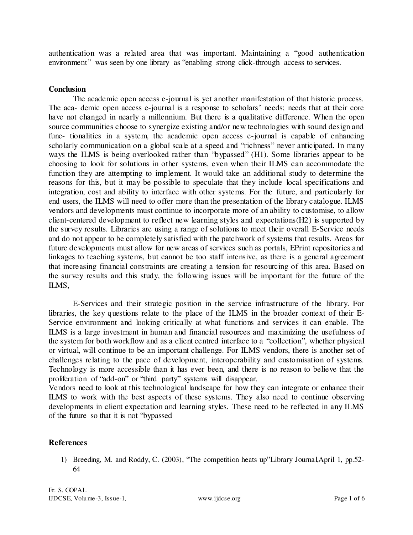authentication was a related area that was important. Maintaining a "good authentication environment" was seen by one library as "enabling strong click-through access to services.

### **Conclusion**

The academic open access e-journal is yet another manifestation of that historic process. The aca- demic open access e-journal is a response to scholars' needs; needs that at their core have not changed in nearly a millennium. But there is a qualitative difference. When the open source communities choose to synergize existing and/or new technologies with sound design and func- tionalities in a system, the academic open access e-journal is capable of enhancing scholarly communication on a global scale at a speed and "richness" never anticipated. In many ways the ILMS is being overlooked rather than "bypassed" (H1). Some libraries appear to be choosing to look for solutions in other systems, even when their ILMS can accommodate the function they are attempting to implement. It would take an additional study to determine the reasons for this, but it may be possible to speculate that they include local specifications and integration, cost and ability to interface with other systems. For the future, and particularly for end users, the ILMS will need to offer more than the presentation of the library catalogue. ILMS vendors and developments must continue to incorporate more of an ability to customise, to allow client-centered development to reflect new learning styles and expectations(H2) is supported by the survey results. Libraries are using a range of solutions to meet their overall E-Service needs and do not appear to be completely satisfied with the patchwork of systems that results. Areas for future developments must allow for new areas of services such as portals, EPrint repositories and linkages to teaching systems, but cannot be too staff intensive, as there is a general agreement that increasing financial constraints are creating a tension for resourcing of this area. Based on the survey results and this study, the following issues will be important for the future of the ILMS,

E-Services and their strategic position in the service infrastructure of the library. For libraries, the key questions relate to the place of the ILMS in the broader context of their E-Service environment and looking critically at what functions and services it can enable. The ILMS is a large investment in human and financial resources and maximizing the usefulness of the system for both workflow and as a client centred interface to a "collection", whether physical or virtual, will continue to be an important challenge. For ILMS vendors, there is another set of challenges relating to the pace of development, interoperability and customisation of systems. Technology is more accessible than it has ever been, and there is no reason to believe that the proliferation of "add-on" or "third party" systems will disappear.

Vendors need to look at this technological landscape for how they can integrate or enhance their ILMS to work with the best aspects of these systems. They also need to continue observing developments in client expectation and learning styles. These need to be reflected in any ILMS of the future so that it is not "bypassed

### **References**

1) Breeding, M. and Roddy, C. (2003), "The competition heats up"Library Journal,April 1, pp.52- 64